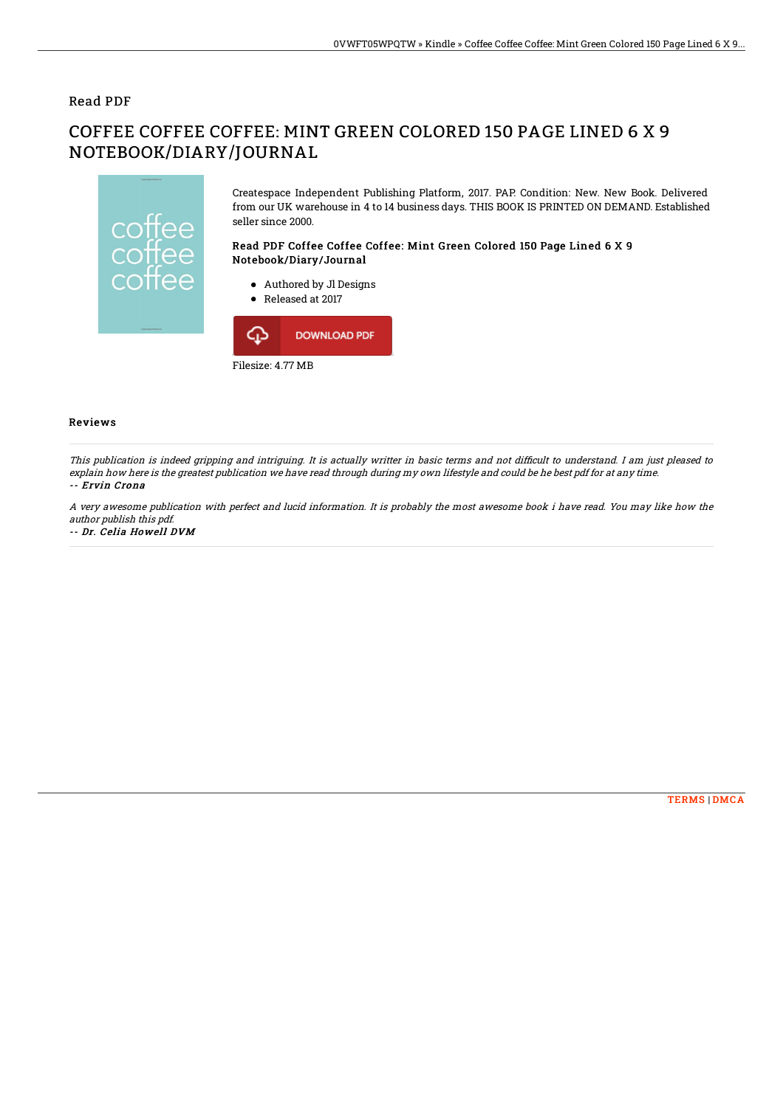### Read PDF

# COFFEE COFFEE COFFEE: MINT GREEN COLORED 150 PAGE LINED 6 X 9 NOTEBOOK/DIARY/JOURNAL



Createspace Independent Publishing Platform, 2017. PAP. Condition: New. New Book. Delivered from our UK warehouse in 4 to 14 business days. THIS BOOK IS PRINTED ON DEMAND. Established seller since 2000.

#### Read PDF Coffee Coffee Coffee: Mint Green Colored 150 Page Lined 6 X 9 Notebook/Diary/Journal

- Authored by Jl Designs
- Released at 2017



#### Reviews

This publication is indeed gripping and intriguing. It is actually writter in basic terms and not difficult to understand. I am just pleased to explain how here is the greatest publication we have read through during my own lifestyle and could be he best pdf for at any time. -- Ervin Crona

#### A very awesome publication with perfect and lucid information. It is probably the most awesome book i have read. You may like how the author publish this pdf.

#### -- Dr. Celia Howell DVM